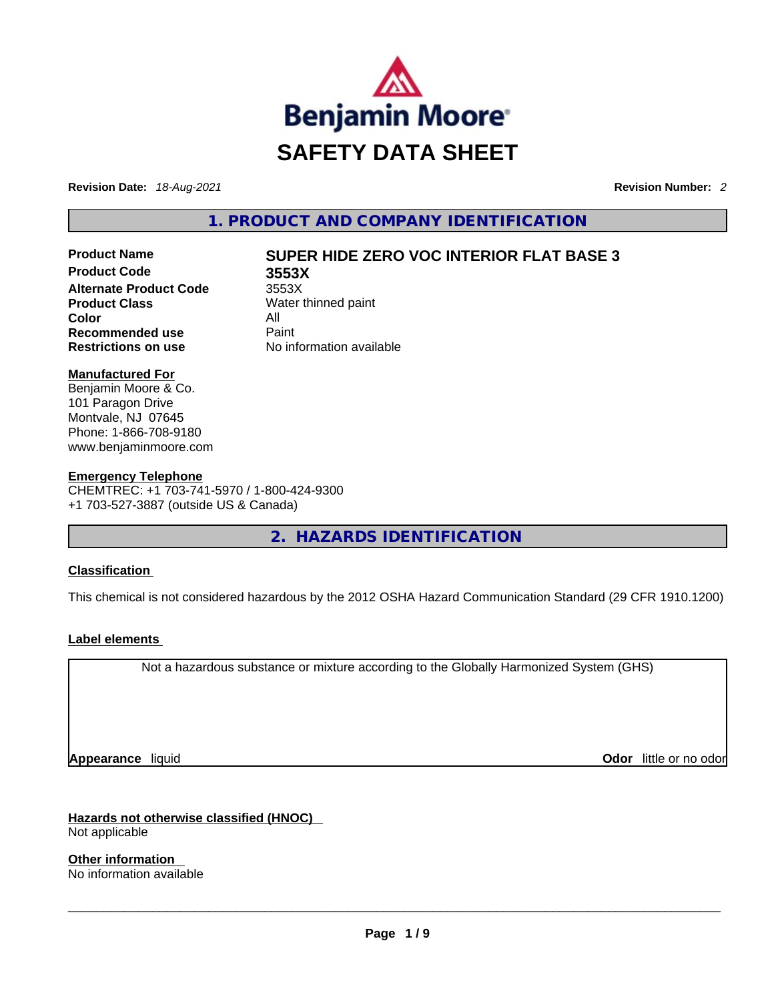

**Revision Date:** *18-Aug-2021* **Revision Number:** *2*

**1. PRODUCT AND COMPANY IDENTIFICATION** 

**Product Code 3553X Alternate Product Code** 3553X **Product Class** Water thinned paint **Color** All **Recommended use Paint Restrictions on use** No information available

# **Product Name SUPER HIDE ZERO VOC INTERIOR FLAT BASE 3**

#### **Manufactured For**

Benjamin Moore & Co. 101 Paragon Drive Montvale, NJ 07645 Phone: 1-866-708-9180 www.benjaminmoore.com

#### **Emergency Telephone**

CHEMTREC: +1 703-741-5970 / 1-800-424-9300 +1 703-527-3887 (outside US & Canada)

**2. HAZARDS IDENTIFICATION** 

#### **Classification**

This chemical is not considered hazardous by the 2012 OSHA Hazard Communication Standard (29 CFR 1910.1200)

#### **Label elements**

Not a hazardous substance or mixture according to the Globally Harmonized System (GHS)

**Appearance** liquid **Odor**  liquid **Odor Constanting Constanting Constanting Constanting Constanting Constanting Constanting Constanting Constanting Constanting Constanting Constanting Constanting Constanting Constanting** 

**Hazards not otherwise classified (HNOC)** 

Not applicable

**Other information**  No information available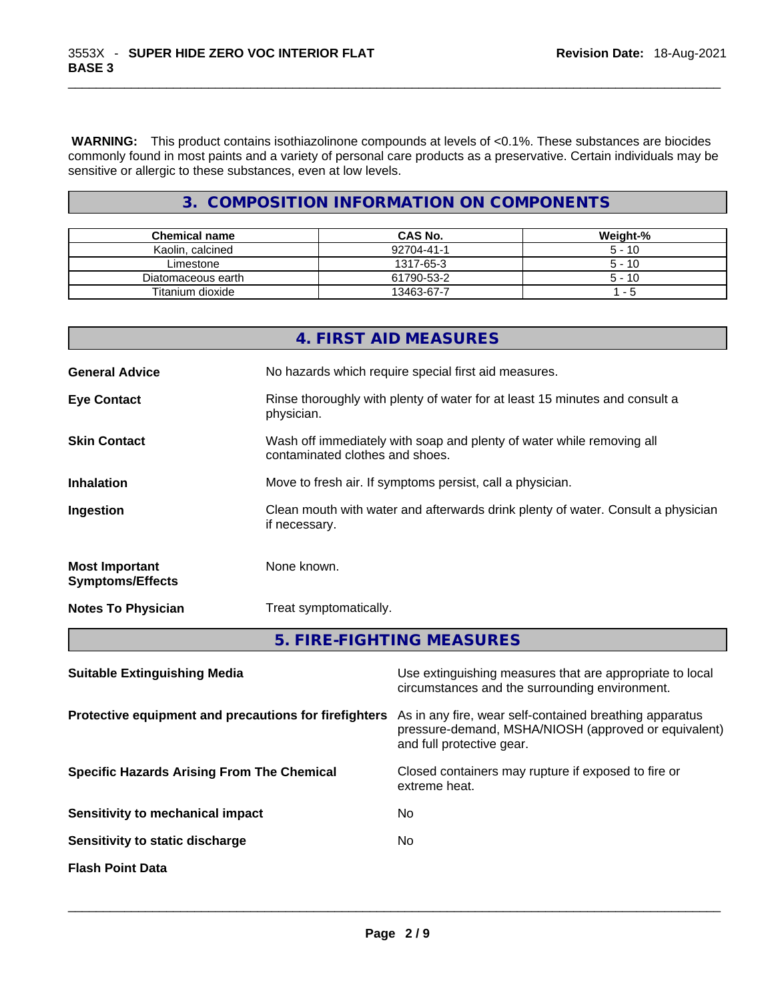**WARNING:** This product contains isothiazolinone compounds at levels of <0.1%. These substances are biocides commonly found in most paints and a variety of personal care products as a preservative. Certain individuals may be sensitive or allergic to these substances, even at low levels.

# **3. COMPOSITION INFORMATION ON COMPONENTS**

| <b>Chemical name</b> | CAS No.    | Weight-% |
|----------------------|------------|----------|
| Kaolin, calcined     | 92704-41-1 | $5 - 10$ |
| Limestone            | 1317-65-3  | $5 - 10$ |
| Diatomaceous earth   | 61790-53-2 | $5 - 10$ |
| Titanium dioxide     | 13463-67-7 | - 5      |

|                                                  | 4. FIRST AID MEASURES                                                                                    |
|--------------------------------------------------|----------------------------------------------------------------------------------------------------------|
| <b>General Advice</b>                            | No hazards which require special first aid measures.                                                     |
| <b>Eye Contact</b>                               | Rinse thoroughly with plenty of water for at least 15 minutes and consult a<br>physician.                |
| <b>Skin Contact</b>                              | Wash off immediately with soap and plenty of water while removing all<br>contaminated clothes and shoes. |
| <b>Inhalation</b>                                | Move to fresh air. If symptoms persist, call a physician.                                                |
| Ingestion                                        | Clean mouth with water and afterwards drink plenty of water. Consult a physician<br>if necessary.        |
| <b>Most Important</b><br><b>Symptoms/Effects</b> | None known.                                                                                              |
| <b>Notes To Physician</b>                        | Treat symptomatically.                                                                                   |
|                                                  | 5. FIRE-FIGHTING MEASURES                                                                                |
|                                                  |                                                                                                          |

| <b>Suitable Extinguishing Media</b>                   | Use extinguishing measures that are appropriate to local<br>circumstances and the surrounding environment.                                   |
|-------------------------------------------------------|----------------------------------------------------------------------------------------------------------------------------------------------|
| Protective equipment and precautions for firefighters | As in any fire, wear self-contained breathing apparatus<br>pressure-demand, MSHA/NIOSH (approved or equivalent)<br>and full protective gear. |
| <b>Specific Hazards Arising From The Chemical</b>     | Closed containers may rupture if exposed to fire or<br>extreme heat.                                                                         |
| Sensitivity to mechanical impact                      | No                                                                                                                                           |
| Sensitivity to static discharge                       | No                                                                                                                                           |
| <b>Flash Point Data</b>                               |                                                                                                                                              |
|                                                       |                                                                                                                                              |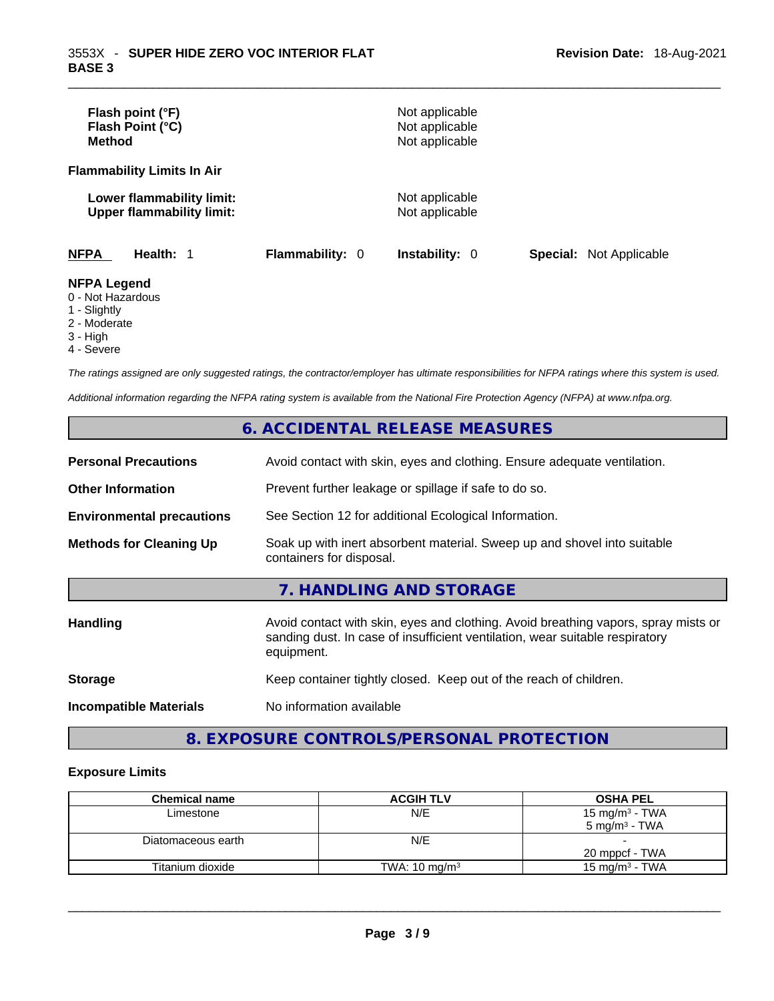| Flash point (°F)<br>Flash Point (°C)<br><b>Method</b>         |                        | Not applicable<br>Not applicable<br>Not applicable |                                |
|---------------------------------------------------------------|------------------------|----------------------------------------------------|--------------------------------|
| <b>Flammability Limits In Air</b>                             |                        |                                                    |                                |
| Lower flammability limit:<br><b>Upper flammability limit:</b> |                        | Not applicable<br>Not applicable                   |                                |
| <b>NFPA</b><br>Health: 1                                      | <b>Flammability: 0</b> | <b>Instability: 0</b>                              | <b>Special:</b> Not Applicable |
| <b>NFPA Legend</b><br>0 - Not Hazardous<br>1 - Slightly       |                        |                                                    |                                |

- 2 Moderate
- 3 High
- 4 Severe

*The ratings assigned are only suggested ratings, the contractor/employer has ultimate responsibilities for NFPA ratings where this system is used.* 

*Additional information regarding the NFPA rating system is available from the National Fire Protection Agency (NFPA) at www.nfpa.org.* 

# **6. ACCIDENTAL RELEASE MEASURES**

| <b>Personal Precautions</b>      | Avoid contact with skin, eyes and clothing. Ensure adequate ventilation.                                                                                                         |
|----------------------------------|----------------------------------------------------------------------------------------------------------------------------------------------------------------------------------|
| <b>Other Information</b>         | Prevent further leakage or spillage if safe to do so.                                                                                                                            |
| <b>Environmental precautions</b> | See Section 12 for additional Ecological Information.                                                                                                                            |
| <b>Methods for Cleaning Up</b>   | Soak up with inert absorbent material. Sweep up and shovel into suitable<br>containers for disposal.                                                                             |
|                                  | 7. HANDLING AND STORAGE                                                                                                                                                          |
| <b>Handling</b>                  | Avoid contact with skin, eyes and clothing. Avoid breathing vapors, spray mists or<br>sanding dust. In case of insufficient ventilation, wear suitable respiratory<br>equipment. |
| <b>Storage</b>                   | Keep container tightly closed. Keep out of the reach of children.                                                                                                                |
| <b>Incompatible Materials</b>    | No information available                                                                                                                                                         |

# **8. EXPOSURE CONTROLS/PERSONAL PROTECTION**

# **Exposure Limits**

| <b>Chemical name</b> | <b>ACGIH TLV</b>         | <b>OSHA PEL</b>            |
|----------------------|--------------------------|----------------------------|
| Limestone            | N/E                      | 15 mg/m <sup>3</sup> - TWA |
|                      |                          | $5 \text{ ma/m}^3$ - TWA   |
| Diatomaceous earth   | N/E                      |                            |
|                      |                          | 20 mppcf - TWA             |
| Titanium dioxide     | TWA: $10 \text{ mg/m}^3$ | $15 \text{ ma/m}^3$ - TWA  |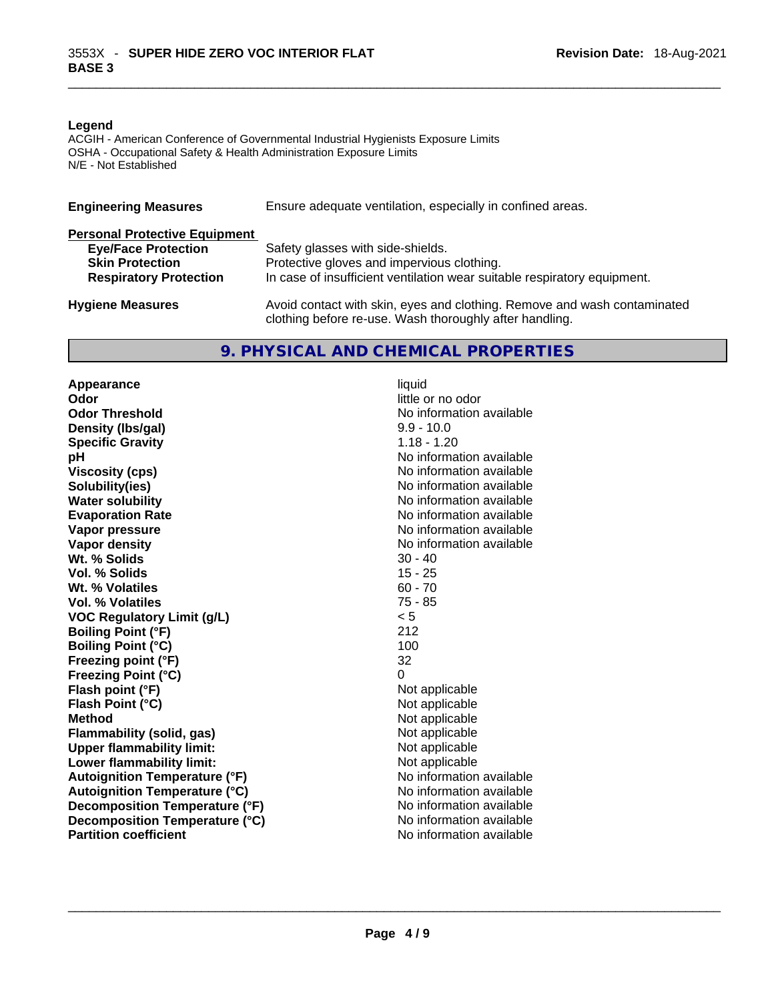#### **Legend**

ACGIH - American Conference of Governmental Industrial Hygienists Exposure Limits OSHA - Occupational Safety & Health Administration Exposure Limits N/E - Not Established

| <b>Engineering Measures</b>          | Ensure adequate ventilation, especially in confined areas.                                                                          |
|--------------------------------------|-------------------------------------------------------------------------------------------------------------------------------------|
| <b>Personal Protective Equipment</b> |                                                                                                                                     |
| <b>Eye/Face Protection</b>           | Safety glasses with side-shields.                                                                                                   |
| <b>Skin Protection</b>               | Protective gloves and impervious clothing.                                                                                          |
| <b>Respiratory Protection</b>        | In case of insufficient ventilation wear suitable respiratory equipment.                                                            |
| <b>Hygiene Measures</b>              | Avoid contact with skin, eyes and clothing. Remove and wash contaminated<br>clothing before re-use. Wash thoroughly after handling. |

# **9. PHYSICAL AND CHEMICAL PROPERTIES**

**Appearance** liquid **Odor**<br> **Odor Threshold**<br> **Odor Threshold**<br> **Odor Threshold Density (lbs/gal)** 9.9 - 10.0 **Specific Gravity** 1.18 - 1.20 **pH bH** *pH* **Viscosity (cps) Viscosity (cps) No information available Solubility(ies)**<br> **Solubility**<br> **Water solubility**<br> **Water solubility Evaporation Rate No information available No information available Vapor pressure Vapor pressure No information available Vapor density No information available No information available Wt. % Solids** 30 - 40 **Vol. % Solids Wt. % Volatiles** 60 - 70 **Vol. % Volatiles** 75 - 85 **VOC Regulatory Limit (g/L)** < 5 **Boiling Point (°F)** 212 **Boiling Point (°C) Freezing point (°F)** 32 **Freezing Point (°C)** 0 **Flash point (°F)** Not applicable **Flash Point (°C)** Not applicable **Method Not applicable**<br> **Plammability (solid, gas)** Not applicable **Not applicable Flammability** (solid, gas) **Upper flammability limit:** Not applicable **Lower flammability limit:** Not applicable **Autoignition Temperature (°F)** No information available **Autoignition Temperature (°C)**<br> **Decomposition Temperature (°F)** No information available **Decomposition Temperature (°F) Decomposition Temperature (°C)** No information available **Partition coefficient**No information available \_\_\_\_\_\_\_\_\_\_\_\_\_\_\_\_\_\_\_\_\_\_\_\_\_\_\_\_\_\_\_\_\_\_\_\_\_\_\_\_\_\_\_\_\_\_\_\_\_\_\_\_\_\_\_\_\_\_\_\_\_\_\_\_\_\_\_\_\_\_\_\_\_\_\_\_\_\_\_\_\_\_\_\_\_\_\_\_\_\_\_\_\_

**No information available No information available**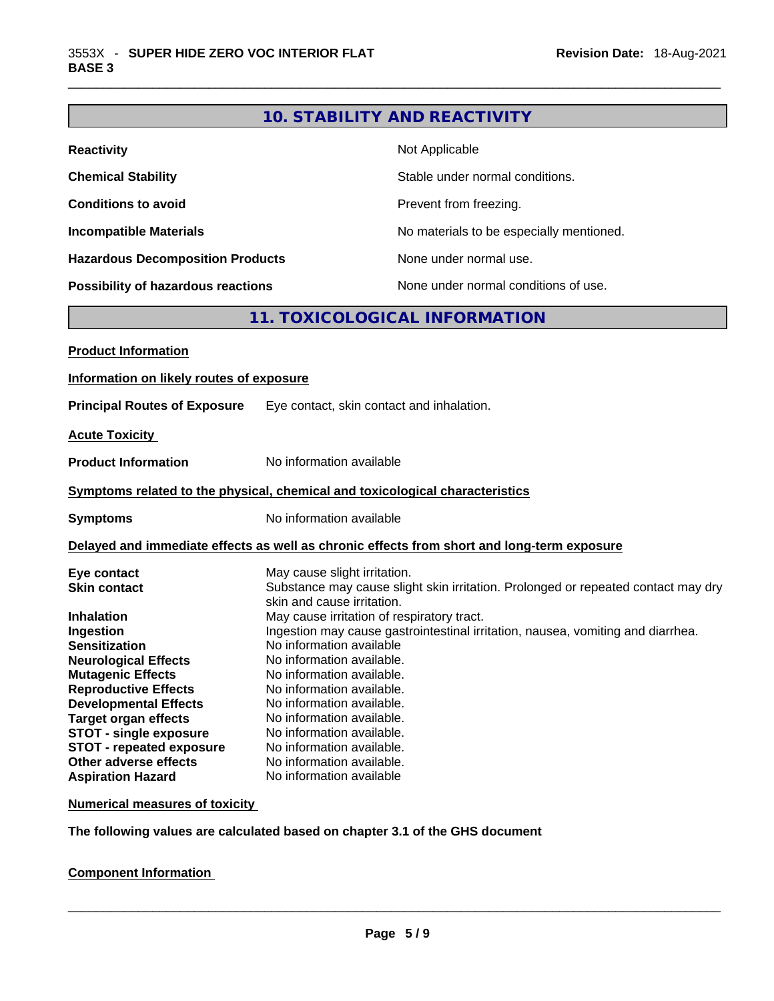# **10. STABILITY AND REACTIVITY**

| <b>Reactivity</b>                       | Not Applicable                           |
|-----------------------------------------|------------------------------------------|
| <b>Chemical Stability</b>               | Stable under normal conditions.          |
| <b>Conditions to avoid</b>              | Prevent from freezing.                   |
| <b>Incompatible Materials</b>           | No materials to be especially mentioned. |
| <b>Hazardous Decomposition Products</b> | None under normal use.                   |
| Possibility of hazardous reactions      | None under normal conditions of use.     |

# **11. TOXICOLOGICAL INFORMATION**

| <b>Product Information</b>                                                                                                                                                                                                                                                                                                                                              |                                                                                                                                                                                                                                                                                                                                                                                                                                                                                                                                                                                  |
|-------------------------------------------------------------------------------------------------------------------------------------------------------------------------------------------------------------------------------------------------------------------------------------------------------------------------------------------------------------------------|----------------------------------------------------------------------------------------------------------------------------------------------------------------------------------------------------------------------------------------------------------------------------------------------------------------------------------------------------------------------------------------------------------------------------------------------------------------------------------------------------------------------------------------------------------------------------------|
| Information on likely routes of exposure                                                                                                                                                                                                                                                                                                                                |                                                                                                                                                                                                                                                                                                                                                                                                                                                                                                                                                                                  |
| <b>Principal Routes of Exposure</b>                                                                                                                                                                                                                                                                                                                                     | Eye contact, skin contact and inhalation.                                                                                                                                                                                                                                                                                                                                                                                                                                                                                                                                        |
| <b>Acute Toxicity</b>                                                                                                                                                                                                                                                                                                                                                   |                                                                                                                                                                                                                                                                                                                                                                                                                                                                                                                                                                                  |
| <b>Product Information</b>                                                                                                                                                                                                                                                                                                                                              | No information available                                                                                                                                                                                                                                                                                                                                                                                                                                                                                                                                                         |
|                                                                                                                                                                                                                                                                                                                                                                         | Symptoms related to the physical, chemical and toxicological characteristics                                                                                                                                                                                                                                                                                                                                                                                                                                                                                                     |
| <b>Symptoms</b>                                                                                                                                                                                                                                                                                                                                                         | No information available                                                                                                                                                                                                                                                                                                                                                                                                                                                                                                                                                         |
|                                                                                                                                                                                                                                                                                                                                                                         | Delayed and immediate effects as well as chronic effects from short and long-term exposure                                                                                                                                                                                                                                                                                                                                                                                                                                                                                       |
| Eye contact<br><b>Skin contact</b><br><b>Inhalation</b><br>Ingestion<br><b>Sensitization</b><br><b>Neurological Effects</b><br><b>Mutagenic Effects</b><br><b>Reproductive Effects</b><br><b>Developmental Effects</b><br><b>Target organ effects</b><br>STOT - single exposure<br><b>STOT - repeated exposure</b><br>Other adverse effects<br><b>Aspiration Hazard</b> | May cause slight irritation.<br>Substance may cause slight skin irritation. Prolonged or repeated contact may dry<br>skin and cause irritation.<br>May cause irritation of respiratory tract.<br>Ingestion may cause gastrointestinal irritation, nausea, vomiting and diarrhea.<br>No information available<br>No information available.<br>No information available.<br>No information available.<br>No information available.<br>No information available.<br>No information available.<br>No information available.<br>No information available.<br>No information available |

#### **Numerical measures of toxicity**

**The following values are calculated based on chapter 3.1 of the GHS document**

#### **Component Information**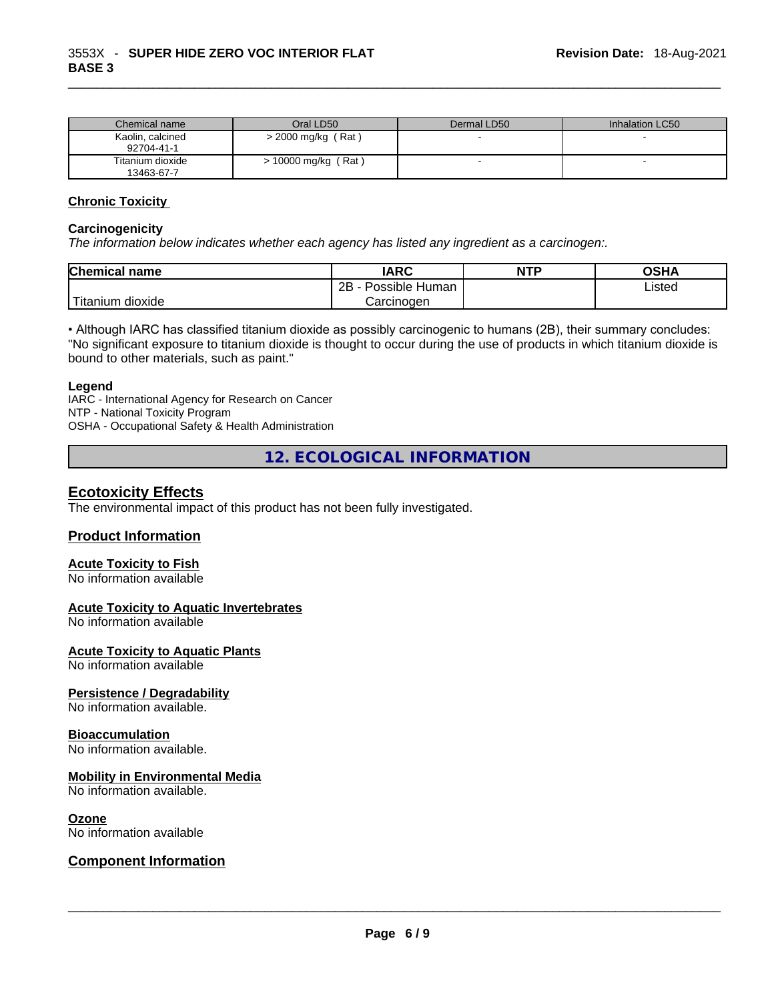| Chemical name                  | Oral LD50           | Dermal LD50 | Inhalation LC50 |
|--------------------------------|---------------------|-------------|-----------------|
| Kaolin, calcined<br>92704-41-1 | > 2000 mg/kg (Rat)  |             |                 |
| Titanium dioxide<br>13463-67-7 | > 10000 mg/kg (Rat) |             |                 |

#### **Chronic Toxicity**

#### **Carcinogenicity**

*The information below indicates whether each agency has listed any ingredient as a carcinogen:.* 

| <b>Chemical name</b> | IARC                 | <b>NTP</b> | OSHA   |
|----------------------|----------------------|------------|--------|
|                      | 2B<br>Possible Human |            | Listed |
| Titanium<br>dioxide  | Carcinogen           |            |        |

• Although IARC has classified titanium dioxide as possibly carcinogenic to humans (2B), their summary concludes: "No significant exposure to titanium dioxide is thought to occur during the use of products in which titanium dioxide is bound to other materials, such as paint."

#### **Legend**

IARC - International Agency for Research on Cancer NTP - National Toxicity Program OSHA - Occupational Safety & Health Administration

**12. ECOLOGICAL INFORMATION** 

# **Ecotoxicity Effects**

The environmental impact of this product has not been fully investigated.

#### **Product Information**

#### **Acute Toxicity to Fish**

No information available

#### **Acute Toxicity to Aquatic Invertebrates**

No information available

#### **Acute Toxicity to Aquatic Plants**

No information available

#### **Persistence / Degradability**

No information available.

#### **Bioaccumulation**

No information available.

#### **Mobility in Environmental Media**

No information available.

#### **Ozone**

# No information available \_\_\_\_\_\_\_\_\_\_\_\_\_\_\_\_\_\_\_\_\_\_\_\_\_\_\_\_\_\_\_\_\_\_\_\_\_\_\_\_\_\_\_\_\_\_\_\_\_\_\_\_\_\_\_\_\_\_\_\_\_\_\_\_\_\_\_\_\_\_\_\_\_\_\_\_\_\_\_\_\_\_\_\_\_\_\_\_\_\_\_\_\_ **Component Information**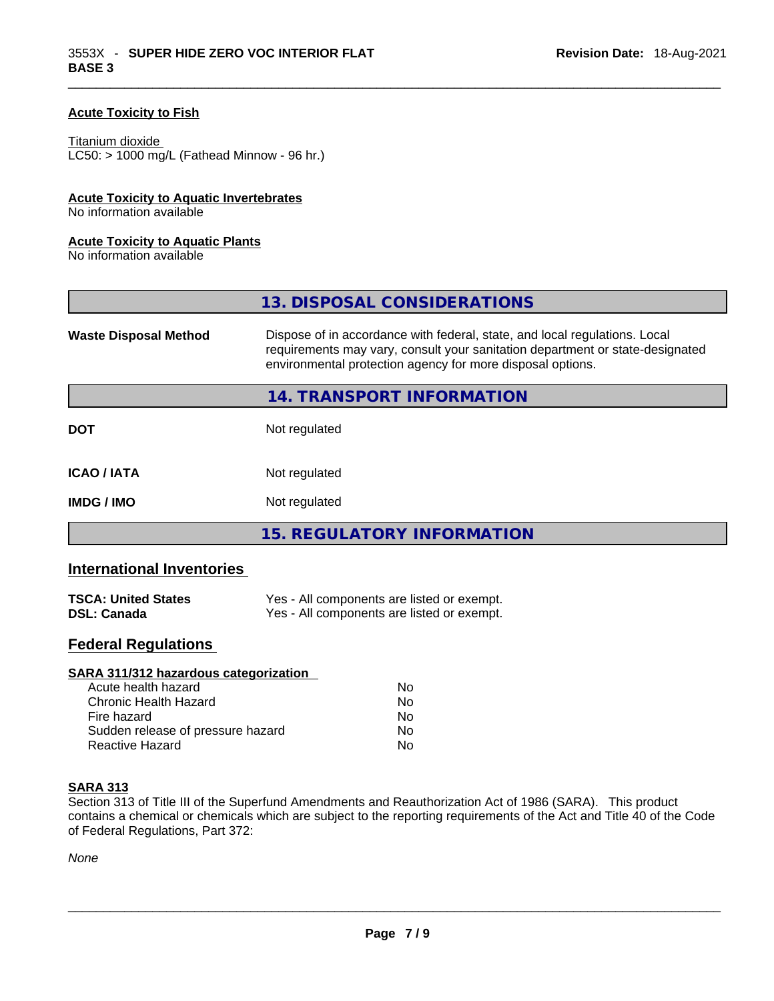### **Acute Toxicity to Fish**

#### Titanium dioxide

 $LCS0: > 1000$  mg/L (Fathead Minnow - 96 hr.)

#### **Acute Toxicity to Aquatic Invertebrates**

No information available

#### **Acute Toxicity to Aquatic Plants**

No information available

|                              | 13. DISPOSAL CONSIDERATIONS                                                                                                                                                                                               |
|------------------------------|---------------------------------------------------------------------------------------------------------------------------------------------------------------------------------------------------------------------------|
| <b>Waste Disposal Method</b> | Dispose of in accordance with federal, state, and local regulations. Local<br>requirements may vary, consult your sanitation department or state-designated<br>environmental protection agency for more disposal options. |
|                              | 14. TRANSPORT INFORMATION                                                                                                                                                                                                 |
| <b>DOT</b>                   | Not regulated                                                                                                                                                                                                             |
| <b>ICAO/IATA</b>             | Not regulated                                                                                                                                                                                                             |
| <b>IMDG/IMO</b>              | Not regulated                                                                                                                                                                                                             |
|                              | 15. REGULATORY INFORMATION                                                                                                                                                                                                |

# **International Inventories**

| <b>TSCA: United States</b> | Yes - All components are listed or exempt. |
|----------------------------|--------------------------------------------|
| <b>DSL: Canada</b>         | Yes - All components are listed or exempt. |

# **Federal Regulations**

| <b>SARA 311/312 hazardous categorization</b> |    |  |
|----------------------------------------------|----|--|
| Acute health hazard                          | Nο |  |
| Chronic Health Hazard                        | No |  |
| Fire hazard                                  | No |  |
| Sudden release of pressure hazard            | No |  |
| Reactive Hazard                              | No |  |

#### **SARA 313**

Section 313 of Title III of the Superfund Amendments and Reauthorization Act of 1986 (SARA). This product contains a chemical or chemicals which are subject to the reporting requirements of the Act and Title 40 of the Code of Federal Regulations, Part 372:

*None*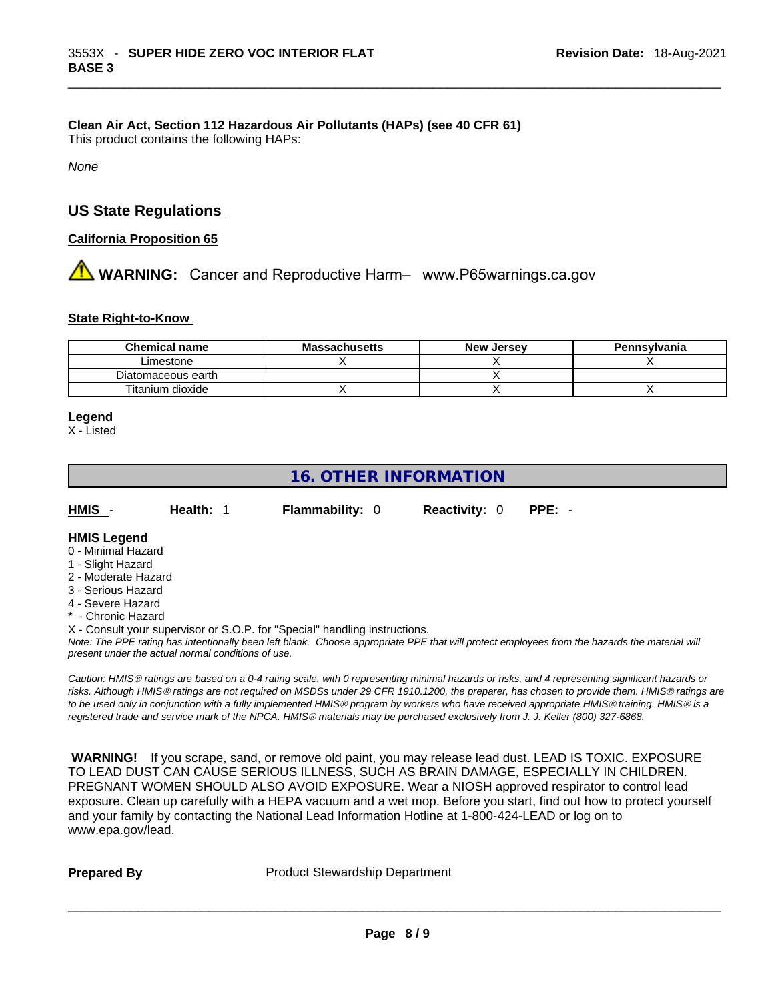#### **Clean Air Act,Section 112 Hazardous Air Pollutants (HAPs) (see 40 CFR 61)**

This product contains the following HAPs:

*None*

# **US State Regulations**

#### **California Proposition 65**

**AVIDER WARNING:** Cancer and Reproductive Harm– www.P65warnings.ca.gov

#### **State Right-to-Know**

| Chemical name      | <b>Massachusetts</b> | <b>New Jersey</b> | Pennsylvania |
|--------------------|----------------------|-------------------|--------------|
| ∟imestone          |                      |                   |              |
| Diatomaceous earth |                      |                   |              |
| Titanium dioxide   |                      |                   |              |

# **Legend**

X - Listed

| <b>16. OTHER INFORMATION</b>            |                                                    |                                                                                                                               |                      |                                                                                                                                                                                                                                                                                                                                                                                                                                             |  |  |
|-----------------------------------------|----------------------------------------------------|-------------------------------------------------------------------------------------------------------------------------------|----------------------|---------------------------------------------------------------------------------------------------------------------------------------------------------------------------------------------------------------------------------------------------------------------------------------------------------------------------------------------------------------------------------------------------------------------------------------------|--|--|
| HMIS -                                  | Health: 1                                          | <b>Flammability: 0</b>                                                                                                        | <b>Reactivity: 0</b> | $PPE: -$                                                                                                                                                                                                                                                                                                                                                                                                                                    |  |  |
| <b>HMIS Legend</b>                      |                                                    |                                                                                                                               |                      |                                                                                                                                                                                                                                                                                                                                                                                                                                             |  |  |
| 0 - Minimal Hazard                      |                                                    |                                                                                                                               |                      |                                                                                                                                                                                                                                                                                                                                                                                                                                             |  |  |
| 1 - Slight Hazard                       |                                                    |                                                                                                                               |                      |                                                                                                                                                                                                                                                                                                                                                                                                                                             |  |  |
| 2 - Moderate Hazard                     |                                                    |                                                                                                                               |                      |                                                                                                                                                                                                                                                                                                                                                                                                                                             |  |  |
| 3 - Serious Hazard                      |                                                    |                                                                                                                               |                      |                                                                                                                                                                                                                                                                                                                                                                                                                                             |  |  |
| 4 - Severe Hazard<br>* - Chronic Hazard |                                                    |                                                                                                                               |                      |                                                                                                                                                                                                                                                                                                                                                                                                                                             |  |  |
|                                         |                                                    | X - Consult your supervisor or S.O.P. for "Special" handling instructions.                                                    |                      |                                                                                                                                                                                                                                                                                                                                                                                                                                             |  |  |
|                                         | present under the actual normal conditions of use. |                                                                                                                               |                      | Note: The PPE rating has intentionally been left blank. Choose appropriate PPE that will protect employees from the hazards the material will                                                                                                                                                                                                                                                                                               |  |  |
|                                         |                                                    | registered trade and service mark of the NPCA. HMIS® materials may be purchased exclusively from J. J. Keller (800) 327-6868. |                      | Caution: HMIS® ratings are based on a 0-4 rating scale, with 0 representing minimal hazards or risks, and 4 representing significant hazards or<br>risks. Although HMIS® ratings are not required on MSDSs under 29 CFR 1910.1200, the preparer, has chosen to provide them. HMIS® ratings are<br>to be used only in conjunction with a fully implemented HMIS® program by workers who have received appropriate HMIS® training. HMIS® is a |  |  |

 **WARNING!** If you scrape, sand, or remove old paint, you may release lead dust. LEAD IS TOXIC. EXPOSURE TO LEAD DUST CAN CAUSE SERIOUS ILLNESS, SUCH AS BRAIN DAMAGE, ESPECIALLY IN CHILDREN. PREGNANT WOMEN SHOULD ALSO AVOID EXPOSURE. Wear a NIOSH approved respirator to control lead exposure. Clean up carefully with a HEPA vacuum and a wet mop. Before you start, find out how to protect yourself and your family by contacting the National Lead Information Hotline at 1-800-424-LEAD or log on to www.epa.gov/lead.

**Prepared By Product Stewardship Department**